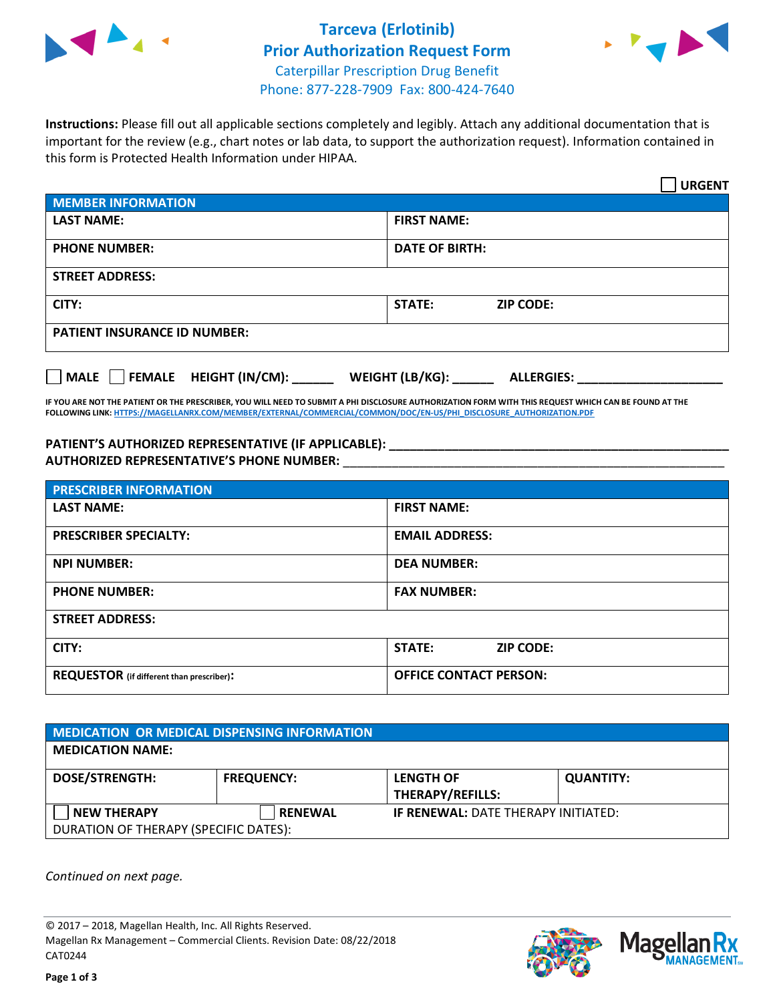

## **Tarceva (Erlotinib) Prior Authorization Request Form** Caterpillar Prescription Drug Benefit Phone: 877-228-7909 Fax: 800-424-7640



**Instructions:** Please fill out all applicable sections completely and legibly. Attach any additional documentation that is important for the review (e.g., chart notes or lab data, to support the authorization request). Information contained in this form is Protected Health Information under HIPAA.

|                                       | <b>URGENT</b>                        |  |
|---------------------------------------|--------------------------------------|--|
| <b>MEMBER INFORMATION</b>             |                                      |  |
| <b>LAST NAME:</b>                     | <b>FIRST NAME:</b>                   |  |
| <b>PHONE NUMBER:</b>                  | <b>DATE OF BIRTH:</b>                |  |
| <b>STREET ADDRESS:</b>                |                                      |  |
| CITY:                                 | <b>STATE:</b><br><b>ZIP CODE:</b>    |  |
| <b>PATIENT INSURANCE ID NUMBER:</b>   |                                      |  |
| FEMALE HEIGHT (IN/CM):<br><b>MALE</b> | WEIGHT (LB/KG):<br><b>ALLERGIES:</b> |  |

**IF YOU ARE NOT THE PATIENT OR THE PRESCRIBER, YOU WILL NEED TO SUBMIT A PHI DISCLOSURE AUTHORIZATION FORM WITH THIS REQUEST WHICH CAN BE FOUND AT THE FOLLOWING LINK[: HTTPS://MAGELLANRX.COM/MEMBER/EXTERNAL/COMMERCIAL/COMMON/DOC/EN-US/PHI\\_DISCLOSURE\\_AUTHORIZATION.PDF](https://magellanrx.com/member/external/commercial/common/doc/en-us/PHI_Disclosure_Authorization.pdf)**

**PATIENT'S AUTHORIZED REPRESENTATIVE (IF APPLICABLE): \_\_\_\_\_\_\_\_\_\_\_\_\_\_\_\_\_\_\_\_\_\_\_\_\_\_\_\_\_\_\_\_\_\_\_\_\_\_\_\_\_\_\_\_\_\_\_\_\_ AUTHORIZED REPRESENTATIVE'S PHONE NUMBER:** \_\_\_\_\_\_\_\_\_\_\_\_\_\_\_\_\_\_\_\_\_\_\_\_\_\_\_\_\_\_\_\_\_\_\_\_\_\_\_\_\_\_\_\_\_\_\_\_\_\_\_\_\_\_\_

| <b>PRESCRIBER INFORMATION</b>             |                               |  |  |  |
|-------------------------------------------|-------------------------------|--|--|--|
| <b>LAST NAME:</b>                         | <b>FIRST NAME:</b>            |  |  |  |
| <b>PRESCRIBER SPECIALTY:</b>              | <b>EMAIL ADDRESS:</b>         |  |  |  |
| <b>NPI NUMBER:</b>                        | <b>DEA NUMBER:</b>            |  |  |  |
| <b>PHONE NUMBER:</b>                      | <b>FAX NUMBER:</b>            |  |  |  |
| <b>STREET ADDRESS:</b>                    |                               |  |  |  |
| CITY:                                     | STATE:<br><b>ZIP CODE:</b>    |  |  |  |
| REQUESTOR (if different than prescriber): | <b>OFFICE CONTACT PERSON:</b> |  |  |  |

| <b>MEDICATION OR MEDICAL DISPENSING INFORMATION</b> |                   |                                            |                  |  |  |
|-----------------------------------------------------|-------------------|--------------------------------------------|------------------|--|--|
| <b>MEDICATION NAME:</b>                             |                   |                                            |                  |  |  |
| <b>DOSE/STRENGTH:</b>                               | <b>FREQUENCY:</b> | <b>LENGTH OF</b>                           | <b>QUANTITY:</b> |  |  |
|                                                     |                   | <b>THERAPY/REFILLS:</b>                    |                  |  |  |
| <b>NEW THERAPY</b>                                  | <b>RENEWAL</b>    | <b>IF RENEWAL: DATE THERAPY INITIATED:</b> |                  |  |  |
| DURATION OF THERAPY (SPECIFIC DATES):               |                   |                                            |                  |  |  |

*Continued on next page.*

© 2017 – 2018, Magellan Health, Inc. All Rights Reserved. Magellan Rx Management – Commercial Clients. Revision Date: 08/22/2018 CAT0244



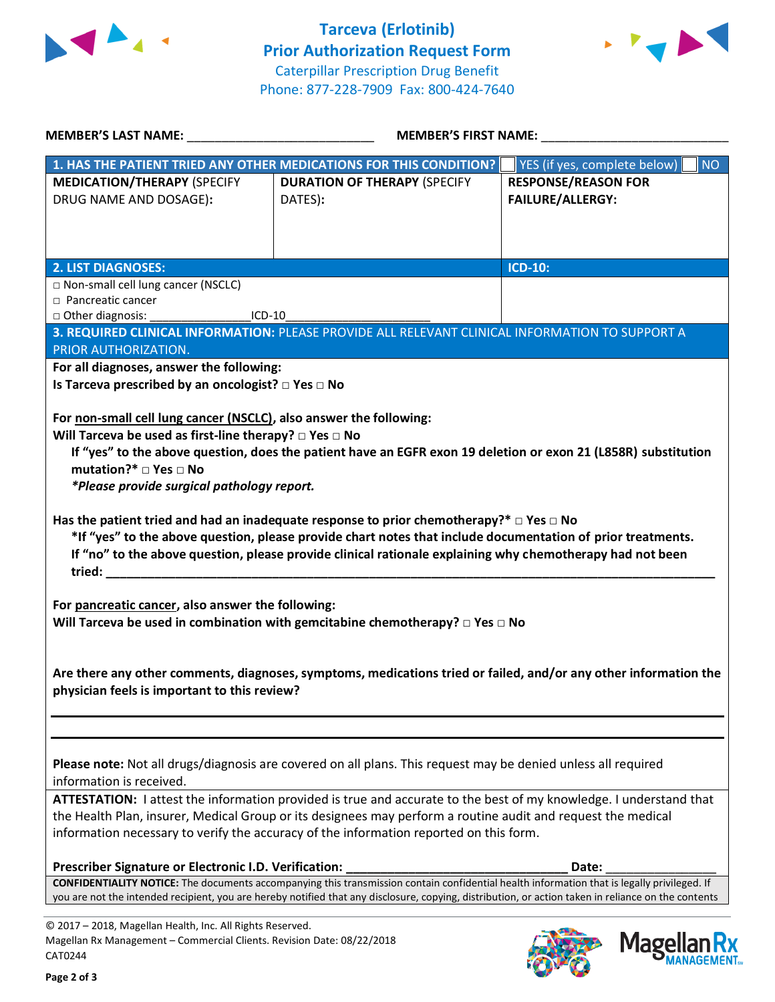



| MEMBER'S LAST NAME: NAMER AND THE RESERVE AND THE RESERVE AND THE RESERVE AND THE RESERVE AND THE RESERVE AND THE RESERVE AND THE RESERVE AND THE RESERVE AND THE RESERVE AND THE RESERVE AND THE RESERVE AND THE RESERVE AND                                                           | MEMBER'S FIRST NAME:                                                                                                                                                                                                                                                                                                         |                                                                                                                                                              |  |  |
|-----------------------------------------------------------------------------------------------------------------------------------------------------------------------------------------------------------------------------------------------------------------------------------------|------------------------------------------------------------------------------------------------------------------------------------------------------------------------------------------------------------------------------------------------------------------------------------------------------------------------------|--------------------------------------------------------------------------------------------------------------------------------------------------------------|--|--|
|                                                                                                                                                                                                                                                                                         | 1. HAS THE PATIENT TRIED ANY OTHER MEDICATIONS FOR THIS CONDITION?                                                                                                                                                                                                                                                           | YES (if yes, complete below)<br>NO                                                                                                                           |  |  |
| <b>MEDICATION/THERAPY (SPECIFY</b><br>DRUG NAME AND DOSAGE):                                                                                                                                                                                                                            | <b>DURATION OF THERAPY (SPECIFY</b><br>DATES):                                                                                                                                                                                                                                                                               | <b>RESPONSE/REASON FOR</b><br><b>FAILURE/ALLERGY:</b>                                                                                                        |  |  |
| <b>2. LIST DIAGNOSES:</b><br>□ Non-small cell lung cancer (NSCLC)                                                                                                                                                                                                                       |                                                                                                                                                                                                                                                                                                                              | <b>ICD-10:</b>                                                                                                                                               |  |  |
| $\Box$ Pancreatic cancer<br>Other diagnosis: _______________________ICD-10_                                                                                                                                                                                                             | 3. REQUIRED CLINICAL INFORMATION: PLEASE PROVIDE ALL RELEVANT CLINICAL INFORMATION TO SUPPORT A                                                                                                                                                                                                                              |                                                                                                                                                              |  |  |
| PRIOR AUTHORIZATION.                                                                                                                                                                                                                                                                    |                                                                                                                                                                                                                                                                                                                              |                                                                                                                                                              |  |  |
| For all diagnoses, answer the following:<br>Is Tarceva prescribed by an oncologist? $\square$ Yes $\square$ No<br>For non-small cell lung cancer (NSCLC), also answer the following:<br>Will Tarceva be used as first-line therapy? $\Box$ Yes $\Box$ No                                | If "yes" to the above question, does the patient have an EGFR exon 19 deletion or exon 21 (L858R) substitution                                                                                                                                                                                                               |                                                                                                                                                              |  |  |
| mutation?* □ Yes □ No<br>*Please provide surgical pathology report.<br>Has the patient tried and had an inadequate response to prior chemotherapy?* $\Box$ Yes $\Box$ No<br>*If "yes" to the above question, please provide chart notes that include documentation of prior treatments. |                                                                                                                                                                                                                                                                                                                              |                                                                                                                                                              |  |  |
| If "no" to the above question, please provide clinical rationale explaining why chemotherapy had not been<br>For pancreatic cancer, also answer the following:                                                                                                                          |                                                                                                                                                                                                                                                                                                                              |                                                                                                                                                              |  |  |
| Will Tarceva be used in combination with gemcitabine chemotherapy? $\Box$ Yes $\Box$ No<br>Are there any other comments, diagnoses, symptoms, medications tried or failed, and/or any other information the<br>physician feels is important to this review?                             |                                                                                                                                                                                                                                                                                                                              |                                                                                                                                                              |  |  |
| information is received.                                                                                                                                                                                                                                                                | Please note: Not all drugs/diagnosis are covered on all plans. This request may be denied unless all required                                                                                                                                                                                                                |                                                                                                                                                              |  |  |
|                                                                                                                                                                                                                                                                                         | ATTESTATION: I attest the information provided is true and accurate to the best of my knowledge. I understand that<br>the Health Plan, insurer, Medical Group or its designees may perform a routine audit and request the medical<br>information necessary to verify the accuracy of the information reported on this form. |                                                                                                                                                              |  |  |
| Prescriber Signature or Electronic I.D. Verification:                                                                                                                                                                                                                                   | CONFIDENTIALITY NOTICE: The documents accompanying this transmission contain confidential health information that is legally privileged. If                                                                                                                                                                                  | Date:<br>you are not the intended recipient, you are hereby notified that any disclosure, copying, distribution, or action taken in reliance on the contents |  |  |

© 2017 – 2018, Magellan Health, Inc. All Rights Reserved. Magellan Rx Management – Commercial Clients. Revision Date: 08/22/2018 CAT0244



**Mage** 

**Ilan Rx<br>ANAGEMENT**